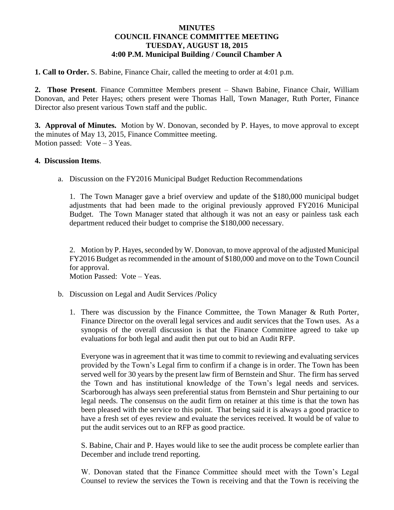## **MINUTES COUNCIL FINANCE COMMITTEE MEETING TUESDAY, AUGUST 18, 2015 4:00 P.M. Municipal Building / Council Chamber A**

**1. Call to Order.** S. Babine, Finance Chair, called the meeting to order at 4:01 p.m.

**2. Those Present**. Finance Committee Members present – Shawn Babine, Finance Chair, William Donovan, and Peter Hayes; others present were Thomas Hall, Town Manager, Ruth Porter, Finance Director also present various Town staff and the public.

**3. Approval of Minutes.** Motion by W. Donovan, seconded by P. Hayes, to move approval to except the minutes of May 13, 2015, Finance Committee meeting. Motion passed:  $Vote-3$  Yeas.

## **4. Discussion Items**.

a. Discussion on the FY2016 Municipal Budget Reduction Recommendations

1. The Town Manager gave a brief overview and update of the \$180,000 municipal budget adjustments that had been made to the original previously approved FY2016 Municipal Budget. The Town Manager stated that although it was not an easy or painless task each department reduced their budget to comprise the \$180,000 necessary.

2. Motion by P. Hayes, seconded by W. Donovan, to move approval of the adjusted Municipal FY2016 Budget as recommended in the amount of \$180,000 and move on to the Town Council for approval.

Motion Passed: Vote – Yeas.

- b. Discussion on Legal and Audit Services /Policy
	- 1. There was discussion by the Finance Committee, the Town Manager & Ruth Porter, Finance Director on the overall legal services and audit services that the Town uses. As a synopsis of the overall discussion is that the Finance Committee agreed to take up evaluations for both legal and audit then put out to bid an Audit RFP.

Everyone was in agreement that it was time to commit to reviewing and evaluating services provided by the Town's Legal firm to confirm if a change is in order. The Town has been served well for 30 years by the present law firm of Bernstein and Shur. The firm has served the Town and has institutional knowledge of the Town's legal needs and services. Scarborough has always seen preferential status from Bernstein and Shur pertaining to our legal needs. The consensus on the audit firm on retainer at this time is that the town has been pleased with the service to this point. That being said it is always a good practice to have a fresh set of eyes review and evaluate the services received. It would be of value to put the audit services out to an RFP as good practice.

S. Babine, Chair and P. Hayes would like to see the audit process be complete earlier than December and include trend reporting.

W. Donovan stated that the Finance Committee should meet with the Town's Legal Counsel to review the services the Town is receiving and that the Town is receiving the